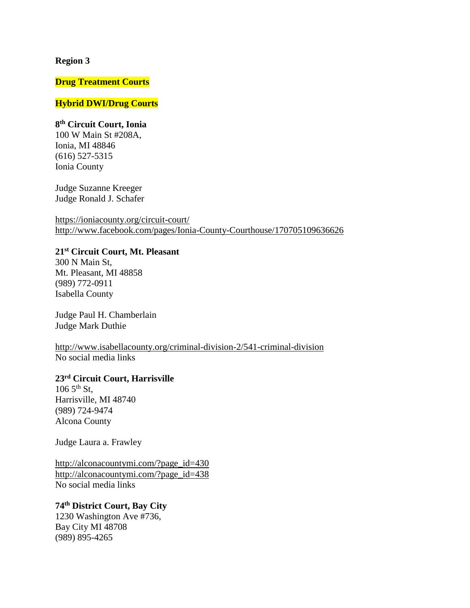#### **Region 3**

## **Drug Treatment Courts**

### **Hybrid DWI/Drug Courts**

### **8 th Circuit Court, Ionia**

100 W Main St #208A, Ionia, MI 48846 (616) 527-5315 Ionia County

Judge Suzanne Kreeger Judge Ronald J. Schafer

<https://ioniacounty.org/circuit-court/> <http://www.facebook.com/pages/Ionia-County-Courthouse/170705109636626>

### **21st Circuit Court, Mt. Pleasant**

300 N Main St, Mt. Pleasant, MI 48858 (989) 772-0911 Isabella County

Judge Paul H. Chamberlain Judge Mark Duthie

<http://www.isabellacounty.org/criminal-division-2/541-criminal-division> No social media links

## **23rd Circuit Court, Harrisville**

 $106\,5^{th}\,$  St, Harrisville, MI 48740 (989) 724-9474 Alcona County

Judge Laura a. Frawley

[http://alconacountymi.com/?page\\_id=430](http://alconacountymi.com/?page_id=430) [http://alconacountymi.com/?page\\_id=438](http://alconacountymi.com/?page_id=438) No social media links

## **74th District Court, Bay City**

1230 Washington Ave #736, Bay City MI 48708 (989) 895-4265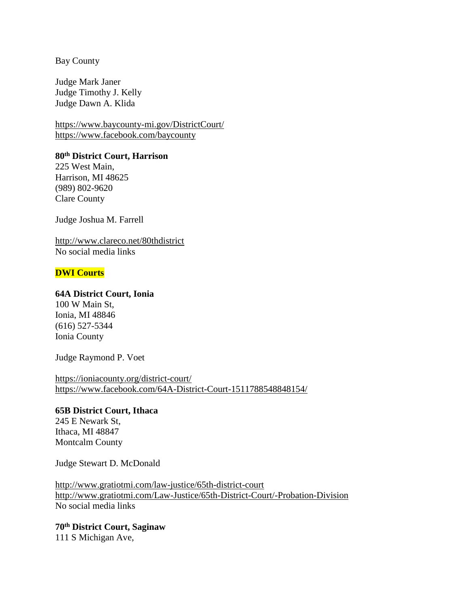Bay County

Judge Mark Janer Judge Timothy J. Kelly Judge Dawn A. Klida

<https://www.baycounty-mi.gov/DistrictCourt/> <https://www.facebook.com/baycounty>

**80th District Court, Harrison** 225 West Main, Harrison, MI 48625

(989) 802-9620 Clare County

Judge Joshua M. Farrell

<http://www.clareco.net/80thdistrict> No social media links

## **DWI Courts**

### **64A District Court, Ionia**

100 W Main St, Ionia, MI 48846 (616) 527-5344 Ionia County

Judge Raymond P. Voet

<https://ioniacounty.org/district-court/> <https://www.facebook.com/64A-District-Court-1511788548848154/>

### **65B District Court, Ithaca**

245 E Newark St, Ithaca, MI 48847 Montcalm County

Judge Stewart D. McDonald

<http://www.gratiotmi.com/law-justice/65th-district-court> <http://www.gratiotmi.com/Law-Justice/65th-District-Court/-Probation-Division> No social media links

**70th District Court, Saginaw** 111 S Michigan Ave,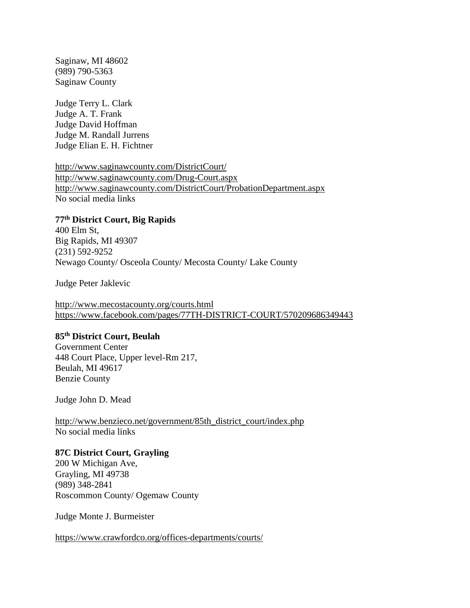Saginaw, MI 48602 (989) 790-5363 Saginaw County

Judge Terry L. Clark Judge A. T. Frank Judge David Hoffman Judge M. Randall Jurrens Judge Elian E. H. Fichtner

<http://www.saginawcounty.com/DistrictCourt/> <http://www.saginawcounty.com/Drug-Court.aspx> <http://www.saginawcounty.com/DistrictCourt/ProbationDepartment.aspx> No social media links

## **77th District Court, Big Rapids**

400 Elm St, Big Rapids, MI 49307 (231) 592-9252 Newago County/ Osceola County/ Mecosta County/ Lake County

Judge Peter Jaklevic

<http://www.mecostacounty.org/courts.html> <https://www.facebook.com/pages/77TH-DISTRICT-COURT/570209686349443>

## **85th District Court, Beulah**

Government Center 448 Court Place, Upper level-Rm 217, Beulah, MI 49617 Benzie County

Judge John D. Mead

[http://www.benzieco.net/government/85th\\_district\\_court/index.php](http://www.benzieco.net/government/85th_district_court/index.php) No social media links

#### **87C District Court, Grayling**

200 W Michigan Ave, Grayling, MI 49738 (989) 348-2841 Roscommon County/ Ogemaw County

Judge Monte J. Burmeister

<https://www.crawfordco.org/offices-departments/courts/>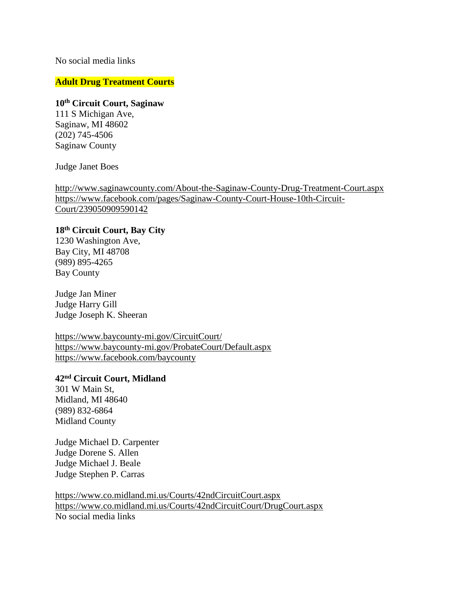## No social media links

### **Adult Drug Treatment Courts**

## **10th Circuit Court, Saginaw**

111 S Michigan Ave, Saginaw, MI 48602 (202) 745-4506 Saginaw County

#### Judge Janet Boes

<http://www.saginawcounty.com/About-the-Saginaw-County-Drug-Treatment-Court.aspx> [https://www.facebook.com/pages/Saginaw-County-Court-House-10th-Circuit-](https://www.facebook.com/pages/Saginaw-County-Court-House-10th-Circuit-Court/239050909590142)[Court/239050909590142](https://www.facebook.com/pages/Saginaw-County-Court-House-10th-Circuit-Court/239050909590142)

#### **18th Circuit Court, Bay City**

1230 Washington Ave, Bay City, MI 48708 (989) 895-4265 Bay County

Judge Jan Miner Judge Harry Gill Judge Joseph K. Sheeran

<https://www.baycounty-mi.gov/CircuitCourt/> <https://www.baycounty-mi.gov/ProbateCourt/Default.aspx> <https://www.facebook.com/baycounty>

## **42nd Circuit Court, Midland**

301 W Main St, Midland, MI 48640 (989) 832-6864 Midland County

Judge Michael D. Carpenter Judge Dorene S. Allen Judge Michael J. Beale Judge Stephen P. Carras

<https://www.co.midland.mi.us/Courts/42ndCircuitCourt.aspx> <https://www.co.midland.mi.us/Courts/42ndCircuitCourt/DrugCourt.aspx> No social media links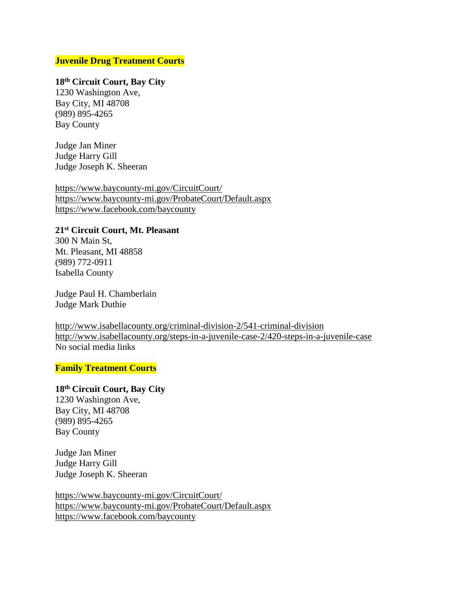## **Juvenile Drug Treatment Courts**

# **18th Circuit Court, Bay City**

1230 Washington Ave, Bay City, MI 48708 (989) 895-4265 Bay County

Judge Jan Miner Judge Harry Gill Judge Joseph K. Sheeran

<https://www.baycounty-mi.gov/CircuitCourt/> <https://www.baycounty-mi.gov/ProbateCourt/Default.aspx> <https://www.facebook.com/baycounty>

### **21st Circuit Court, Mt. Pleasant**

300 N Main St, Mt. Pleasant, MI 48858 (989) 772-0911 Isabella County

Judge Paul H. Chamberlain Judge Mark Duthie

<http://www.isabellacounty.org/criminal-division-2/541-criminal-division> <http://www.isabellacounty.org/steps-in-a-juvenile-case-2/420-steps-in-a-juvenile-case> No social media links

#### **Family Treatment Courts**

## **18th Circuit Court, Bay City**

1230 Washington Ave, Bay City, MI 48708 (989) 895-4265 Bay County

Judge Jan Miner Judge Harry Gill Judge Joseph K. Sheeran

<https://www.baycounty-mi.gov/CircuitCourt/> <https://www.baycounty-mi.gov/ProbateCourt/Default.aspx> <https://www.facebook.com/baycounty>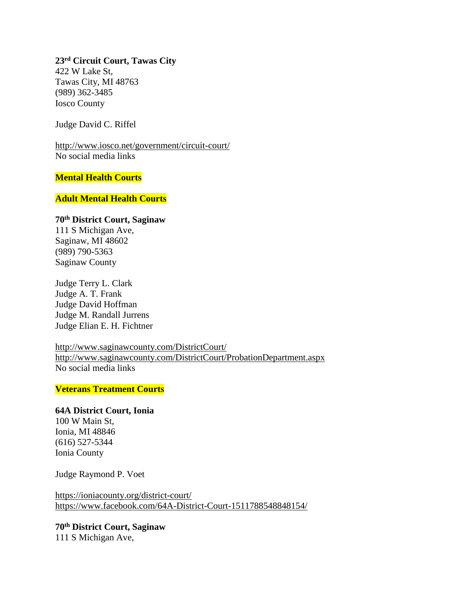**23rd Circuit Court, Tawas City** 422 W Lake St, Tawas City, MI 48763 (989) 362-3485 Iosco County

Judge David C. Riffel

<http://www.iosco.net/government/circuit-court/> No social media links

## **Mental Health Courts**

#### **Adult Mental Health Courts**

#### **70th District Court, Saginaw**

111 S Michigan Ave, Saginaw, MI 48602 (989) 790-5363 Saginaw County

Judge Terry L. Clark Judge A. T. Frank Judge David Hoffman Judge M. Randall Jurrens Judge Elian E. H. Fichtner

<http://www.saginawcounty.com/DistrictCourt/> <http://www.saginawcounty.com/DistrictCourt/ProbationDepartment.aspx> No social media links

# **Veterans Treatment Courts**

### **64A District Court, Ionia**

100 W Main St, Ionia, MI 48846 (616) 527-5344 Ionia County

Judge Raymond P. Voet

<https://ioniacounty.org/district-court/> <https://www.facebook.com/64A-District-Court-1511788548848154/>

**70th District Court, Saginaw** 111 S Michigan Ave,